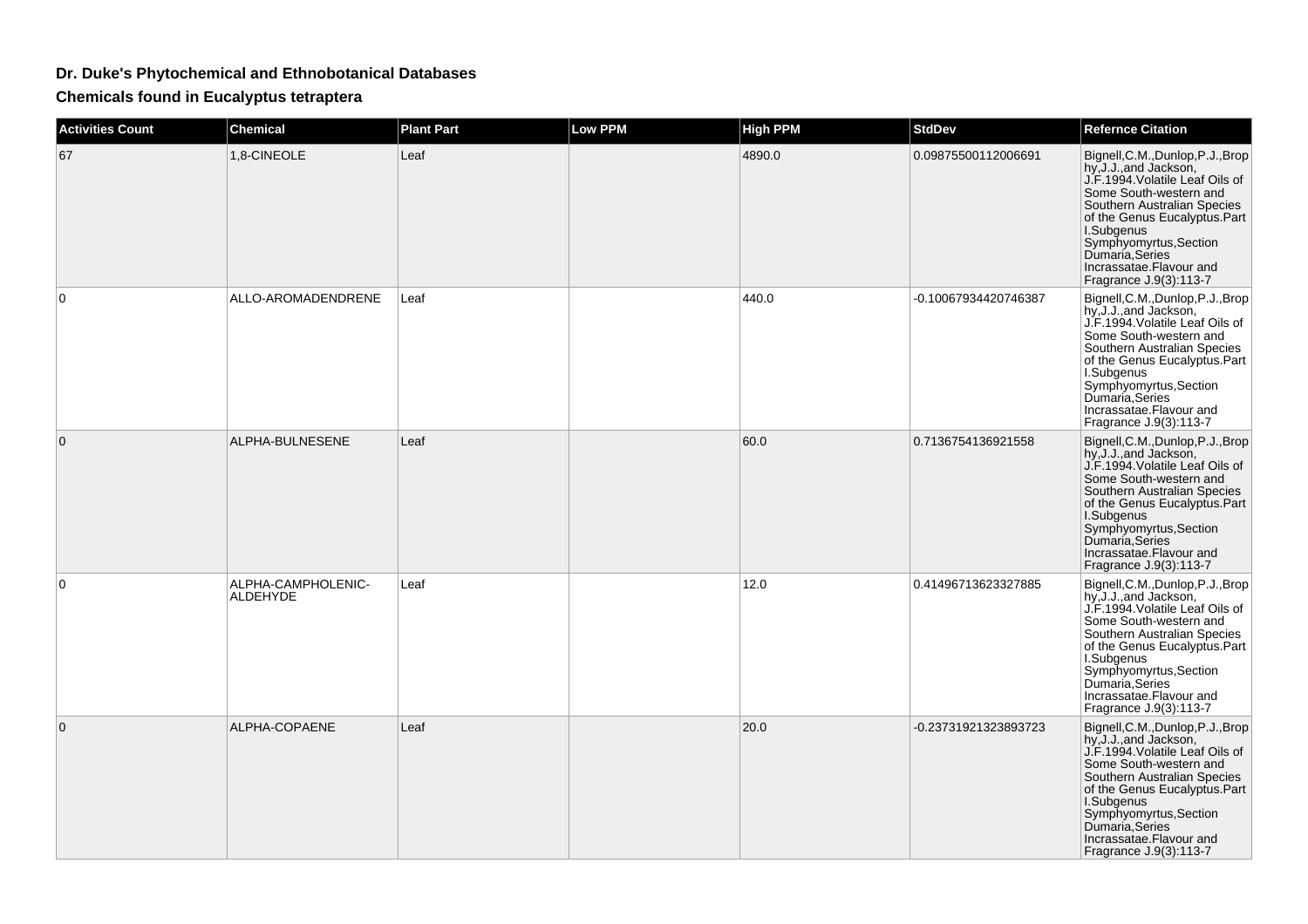## **Dr. Duke's Phytochemical and Ethnobotanical Databases**

**Chemicals found in Eucalyptus tetraptera**

| <b>Activities Count</b> | <b>Chemical</b>                       | <b>Plant Part</b> | <b>Low PPM</b> | <b>High PPM</b> | <b>StdDev</b>        | <b>Refernce Citation</b>                                                                                                                                                                                                                                                                                 |
|-------------------------|---------------------------------------|-------------------|----------------|-----------------|----------------------|----------------------------------------------------------------------------------------------------------------------------------------------------------------------------------------------------------------------------------------------------------------------------------------------------------|
| 67                      | 1,8-CINEOLE                           | Leaf              |                | 4890.0          | 0.09875500112006691  | Bignell, C.M., Dunlop, P.J., Brop<br>hy, J.J., and Jackson,<br>J.F.1994. Volatile Leaf Oils of<br>Some South-western and<br>Southern Australian Species<br>of the Genus Eucalyptus.Part<br>I.Subgenus<br>Symphyomyrtus, Section<br>Dumaria, Series<br>Incrassatae.Flavour and<br>Fragrance J.9(3):113-7  |
| 0                       | ALLO-AROMADENDRENE                    | Leaf              |                | 440.0           | -0.10067934420746387 | Bignell, C.M., Dunlop, P.J., Brop<br>hy, J.J., and Jackson,<br>J.F.1994. Volatile Leaf Oils of<br>Some South-western and<br>Southern Australian Species<br>of the Genus Eucalyptus.Part<br>I.Subgenus<br>Symphyomyrtus, Section<br>Dumaria, Series<br>Incrassatae.Flavour and<br>Fragrance J.9(3):113-7  |
| $\mathbf 0$             | ALPHA-BULNESENE                       | Leaf              |                | 60.0            | 0.7136754136921558   | Bignell, C.M., Dunlop, P.J., Brop<br>hy, J.J., and Jackson,<br>J.F.1994. Volatile Leaf Oils of<br>Some South-western and<br>Southern Australian Species<br>of the Genus Eucalyptus.Part<br>I.Subgenus<br>Symphyomyrtus, Section<br>Dumaria, Series<br>Incrassatae.Flavour and<br>Fragrance J.9(3):113-7  |
| 0                       | ALPHA-CAMPHOLENIC-<br><b>ALDEHYDE</b> | Leaf              |                | 12.0            | 0.41496713623327885  | Bignell, C.M., Dunlop, P.J., Brop<br>hy, J.J., and Jackson,<br>J.F.1994. Volatile Leaf Oils of<br>Some South-western and<br>Southern Australian Species<br>of the Genus Eucalyptus.Part<br>I.Subgenus<br>Symphyomyrtus, Section<br>Dumaria, Series<br>Incrassatae.Flavour and<br>Fragrance J.9(3):113-7  |
| $\mathbf 0$             | ALPHA-COPAENE                         | Leaf              |                | 20.0            | -0.23731921323893723 | Bignell, C.M., Dunlop, P.J., Brop<br>hy, J.J., and Jackson,<br>J.F.1994. Volatile Leaf Oils of<br>Some South-western and<br>Southern Australian Species<br>of the Genus Eucalyptus.Part<br>I.Subgenus<br>Symphyomyrtus, Section<br>Dumaria, Series<br>Incrassatae. Flavour and<br>Fragrance J.9(3):113-7 |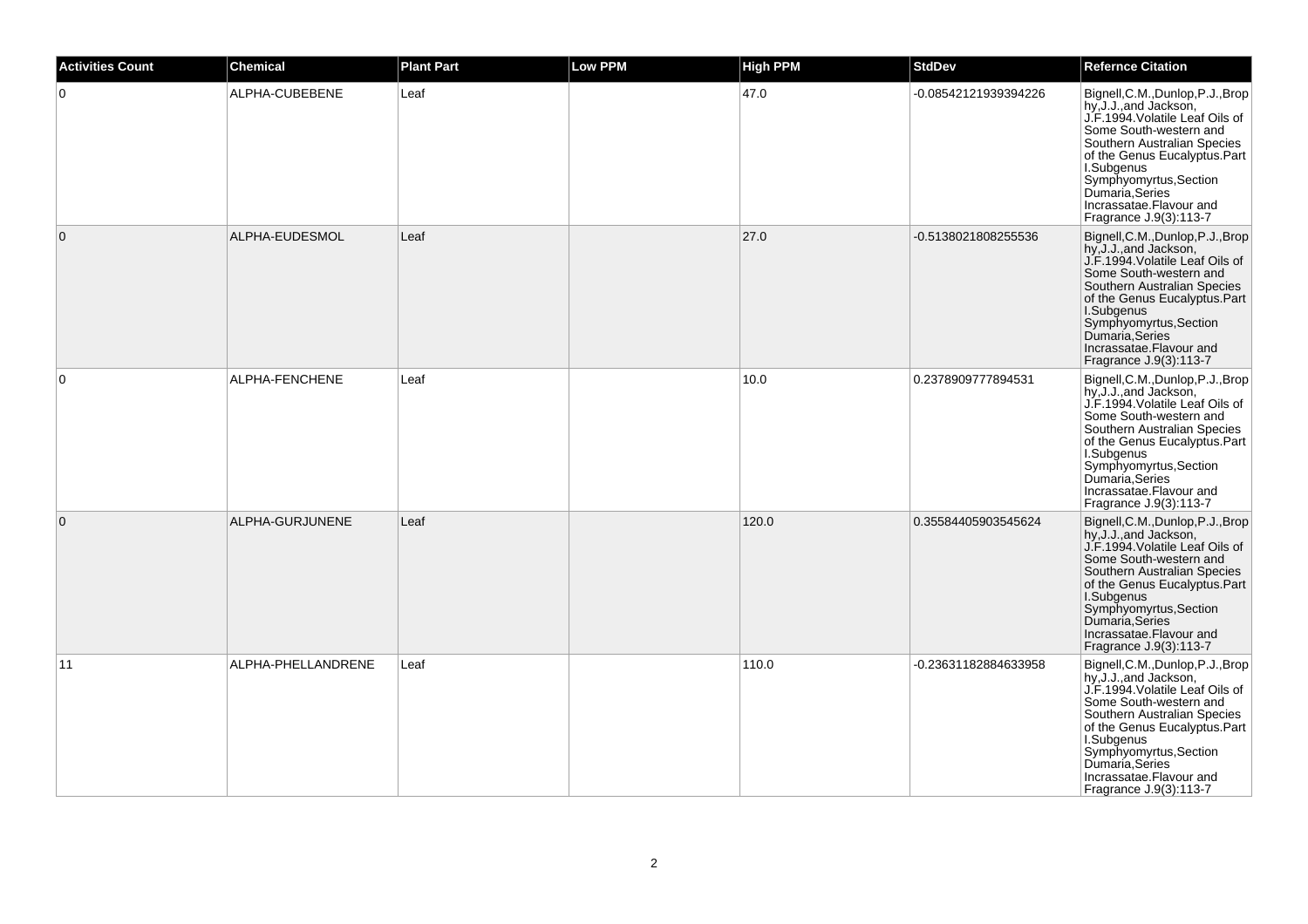| <b>Activities Count</b> | <b>Chemical</b>    | <b>Plant Part</b> | <b>Low PPM</b> | <b>High PPM</b> | <b>StdDev</b>        | <b>Refernce Citation</b>                                                                                                                                                                                                                                                                                |
|-------------------------|--------------------|-------------------|----------------|-----------------|----------------------|---------------------------------------------------------------------------------------------------------------------------------------------------------------------------------------------------------------------------------------------------------------------------------------------------------|
| 0                       | ALPHA-CUBEBENE     | Leaf              |                | 47.0            | -0.08542121939394226 | Bignell, C.M., Dunlop, P.J., Brop<br>hy, J.J., and Jackson,<br>J.F.1994. Volatile Leaf Oils of<br>Some South-western and<br>Southern Australian Species<br>of the Genus Eucalyptus.Part<br>I.Subgenus<br>Symphyomyrtus, Section<br>Dumaria, Series<br>Incrassatae.Flavour and<br>Fragrance J.9(3):113-7 |
| $\overline{0}$          | ALPHA-EUDESMOL     | Leaf              |                | 27.0            | -0.5138021808255536  | Bignell, C.M., Dunlop, P.J., Brop<br>hy, J.J., and Jackson,<br>J.F.1994. Volatile Leaf Oils of<br>Some South-western and<br>Southern Australian Species<br>of the Genus Eucalyptus.Part<br>I.Subgenus<br>Symphyomyrtus, Section<br>Dumaria, Series<br>Incrassatae.Flavour and<br>Fragrance J.9(3):113-7 |
| 0                       | ALPHA-FENCHENE     | Leaf              |                | 10.0            | 0.2378909777894531   | Bignell, C.M., Dunlop, P.J., Brop<br>hy, J.J., and Jackson,<br>J.F.1994. Volatile Leaf Oils of<br>Some South-western and<br>Southern Australian Species<br>of the Genus Eucalyptus.Part<br>I.Subgenus<br>Symphyomyrtus, Section<br>Dumaria, Series<br>Incrassatae.Flavour and<br>Fragrance J.9(3):113-7 |
| $\overline{0}$          | ALPHA-GURJUNENE    | Leaf              |                | 120.0           | 0.35584405903545624  | Bignell, C.M., Dunlop, P.J., Brop<br>hy, J.J., and Jackson,<br>J.F.1994. Volatile Leaf Oils of<br>Some South-western and<br>Southern Australian Species<br>of the Genus Eucalyptus.Part<br>I.Subgenus<br>Symphyomyrtus, Section<br>Dumaria, Series<br>Incrassatae.Flavour and<br>Fragrance J.9(3):113-7 |
| 11                      | ALPHA-PHELLANDRENE | Leaf              |                | 110.0           | -0.23631182884633958 | Bignell, C.M., Dunlop, P.J., Brop<br>hy, J.J., and Jackson,<br>J.F.1994. Volatile Leaf Oils of<br>Some South-western and<br>Southern Australian Species<br>of the Genus Eucalyptus.Part<br>I.Subgenus<br>Symphyomyrtus, Section<br>Dumaria, Series<br>Incrassatae.Flavour and<br>Fragrance J.9(3):113-7 |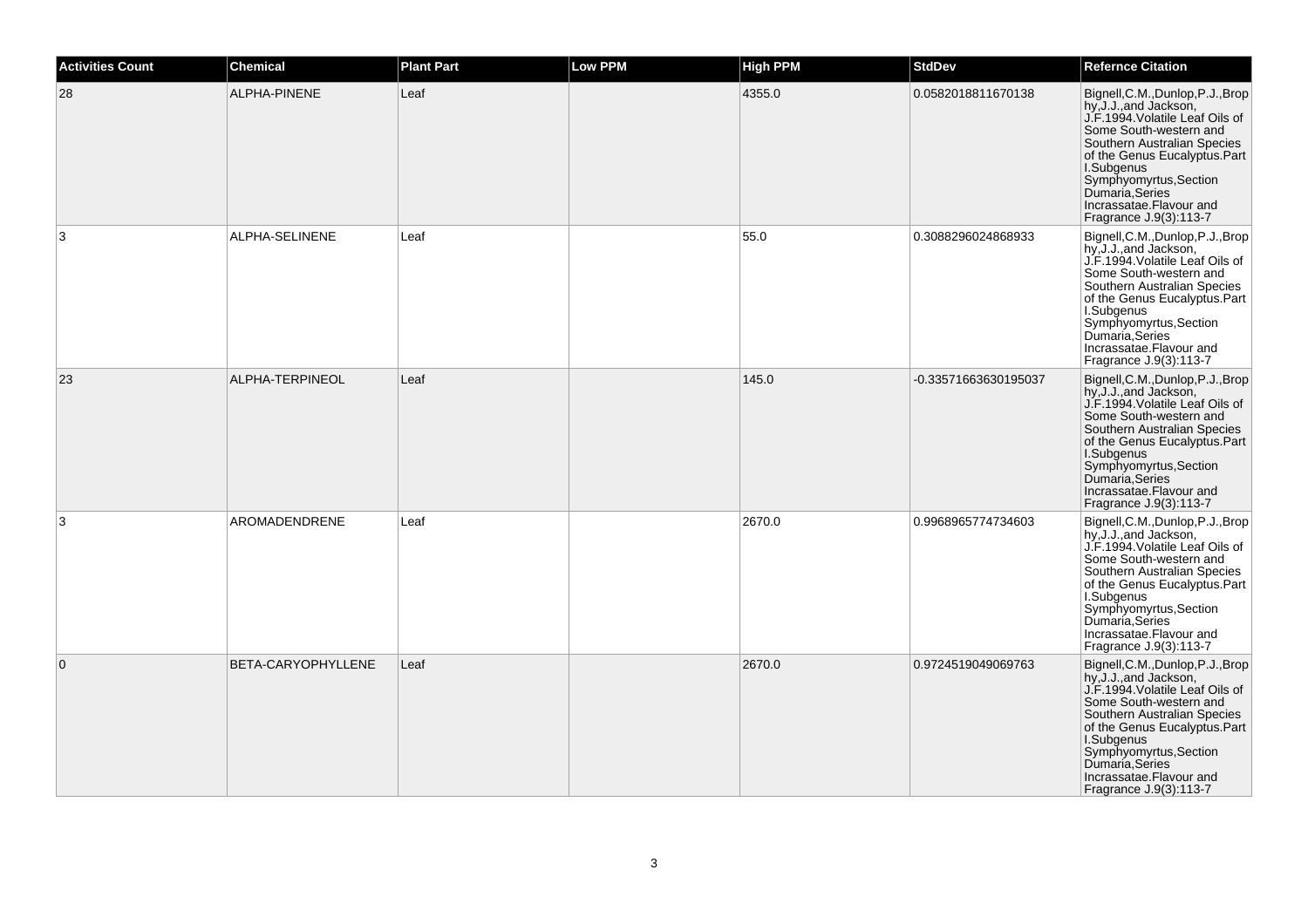| <b>Activities Count</b> | <b>Chemical</b>    | <b>Plant Part</b> | <b>Low PPM</b> | <b>High PPM</b> | <b>StdDev</b>        | <b>Refernce Citation</b>                                                                                                                                                                                                                                                                                |
|-------------------------|--------------------|-------------------|----------------|-----------------|----------------------|---------------------------------------------------------------------------------------------------------------------------------------------------------------------------------------------------------------------------------------------------------------------------------------------------------|
| 28                      | ALPHA-PINENE       | Leaf              |                | 4355.0          | 0.0582018811670138   | Bignell, C.M., Dunlop, P.J., Brop<br>hy, J.J., and Jackson,<br>J.F.1994. Volatile Leaf Oils of<br>Some South-western and<br>Southern Australian Species<br>of the Genus Eucalyptus.Part<br>I.Subgenus<br>Symphyomyrtus, Section<br>Dumaria, Series<br>Incrassatae.Flavour and<br>Fragrance J.9(3):113-7 |
| 3                       | ALPHA-SELINENE     | Leaf              |                | 55.0            | 0.3088296024868933   | Bignell, C.M., Dunlop, P.J., Brop<br>hy, J.J., and Jackson,<br>J.F.1994. Volatile Leaf Oils of<br>Some South-western and<br>Southern Australian Species<br>of the Genus Eucalyptus.Part<br>I.Subgenus<br>Symphyomyrtus, Section<br>Dumaria, Series<br>Incrassatae.Flavour and<br>Fragrance J.9(3):113-7 |
| 23                      | ALPHA-TERPINEOL    | Leaf              |                | 145.0           | -0.33571663630195037 | Bignell, C.M., Dunlop, P.J., Brop<br>hy, J.J., and Jackson,<br>J.F.1994. Volatile Leaf Oils of<br>Some South-western and<br>Southern Australian Species<br>of the Genus Eucalyptus.Part<br>I.Subgenus<br>symphyomyrtus, Section<br>Dumaria, Series<br>Incrassatae.Flavour and<br>Fragrance J.9(3):113-7 |
| 3                       | AROMADENDRENE      | Leaf              |                | 2670.0          | 0.9968965774734603   | Bignell, C.M., Dunlop, P.J., Brop<br>hy, J.J., and Jackson,<br>J.F.1994. Volatile Leaf Oils of<br>Some South-western and<br>Southern Australian Species<br>of the Genus Eucalyptus.Part<br>I.Subgenus<br>Symphyomyrtus, Section<br>Dumaria, Series<br>Incrassatae.Flavour and<br>Fragrance J.9(3):113-7 |
| $\overline{0}$          | BETA-CARYOPHYLLENE | Leaf              |                | 2670.0          | 0.9724519049069763   | Bignell, C.M., Dunlop, P.J., Brop<br>hy, J.J., and Jackson,<br>J.F.1994. Volatile Leaf Oils of<br>Some South-western and<br>Southern Australian Species<br>of the Genus Eucalyptus.Part<br>I.Subgenus<br>Symphyomyrtus, Section<br>Dumaria, Series<br>Incrassatae.Flavour and<br>Fragrance J.9(3):113-7 |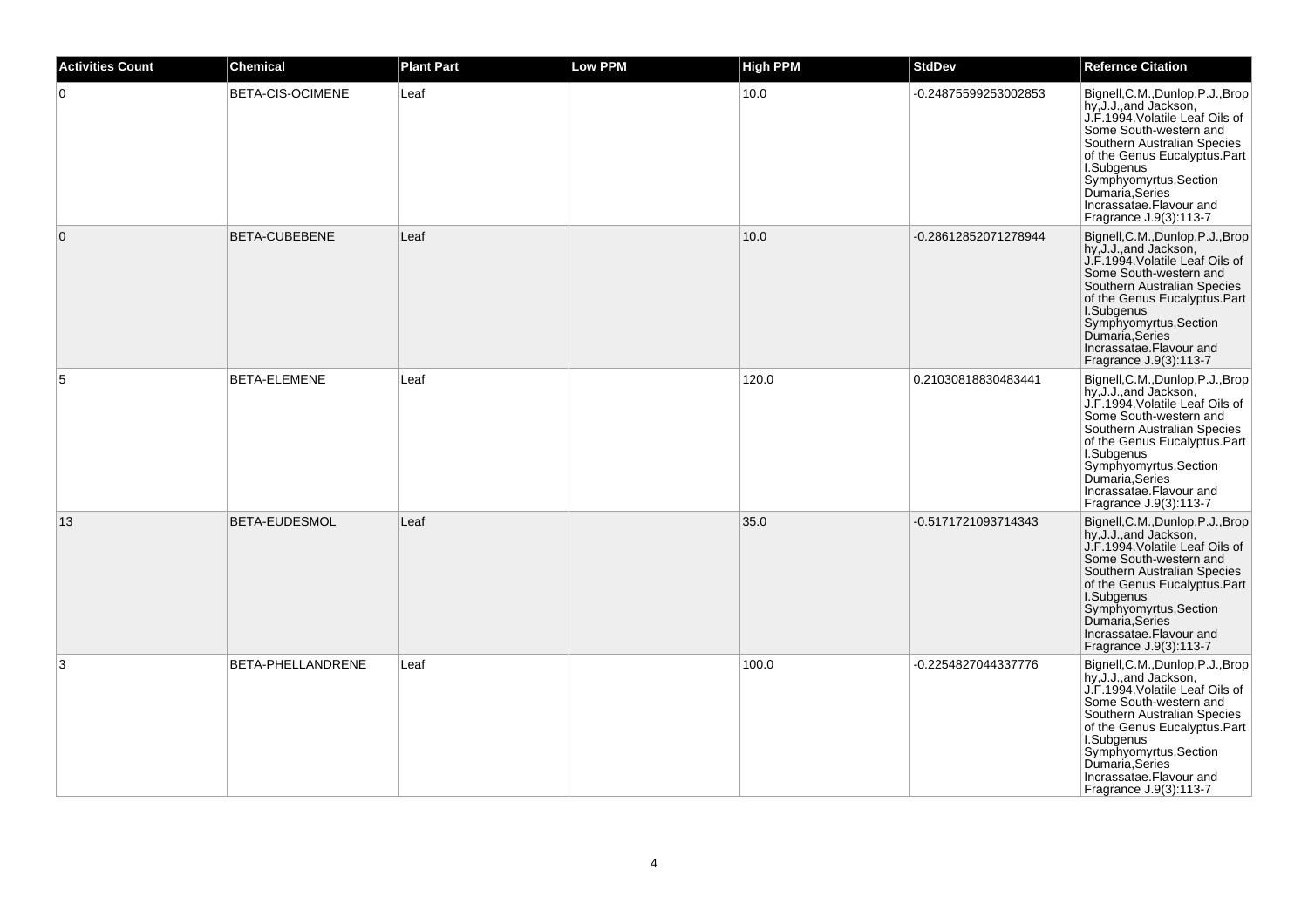| <b>Activities Count</b> | <b>Chemical</b>      | <b>Plant Part</b> | <b>Low PPM</b> | <b>High PPM</b> | <b>StdDev</b>        | <b>Refernce Citation</b>                                                                                                                                                                                                                                                                                             |
|-------------------------|----------------------|-------------------|----------------|-----------------|----------------------|----------------------------------------------------------------------------------------------------------------------------------------------------------------------------------------------------------------------------------------------------------------------------------------------------------------------|
| $\overline{0}$          | BETA-CIS-OCIMENE     | Leaf              |                | 10.0            | -0.24875599253002853 | Bignell, C.M., Dunlop, P.J., Brop<br>hy, J.J., and Jackson,<br>J.F.1994. Volatile Leaf Oils of<br>Some South-western and<br>Southern Australian Species<br>of the Genus Eucalyptus.Part<br>I.Subgenus<br>Symphyomyrtus, Section<br>Dumaria, Series<br>Incrassatae.Flavour and<br>Fragrance J.9(3):113-7              |
| $\overline{0}$          | <b>BETA-CUBEBENE</b> | Leaf              |                | 10.0            | -0.28612852071278944 | Bignell, C.M., Dunlop, P.J., Brop<br>hy, J.J., and Jackson,<br>J.F.1994. Volatile Leaf Oils of<br>Some South-western and<br>Southern Australian Species<br>of the Genus Eucalyptus.Part<br>I.Subgenus<br>Symphyomyrtus, Section<br>Dumaria, Series<br>Incrassatae.Flavour and<br>Fragrance J.9(3):113-7              |
| 5                       | BETA-ELEMENE         | Leaf              |                | 120.0           | 0.21030818830483441  | Bignell, C.M., Dunlop, P.J., Brop<br>hy, J.J., and Jackson,<br>J.F.1994. Volatile Leaf Oils of<br>Some South-western and<br>Southern Australian Species<br>of the Genus Eucalyptus.Part<br>I.Subgenus<br>structure<br>Symphyomyrtus, Section<br>Dumaria, Series<br>Incrassatae.Flavour and<br>Fragrance J.9(3):113-7 |
| 13                      | BETA-EUDESMOL        | Leaf              |                | 35.0            | -0.5171721093714343  | Bignell, C.M., Dunlop, P.J., Brop<br>hy, J.J., and Jackson,<br>J.F.1994. Volatile Leaf Oils of<br>Some South-western and<br>Southern Australian Species<br>of the Genus Eucalyptus.Part<br>I.Subgenus<br>Symphyomyrtus, Section<br>Dumaria, Series<br>Incrassatae.Flavour and<br>Fragrance J.9(3):113-7              |
| 3                       | BETA-PHELLANDRENE    | Leaf              |                | 100.0           | -0.2254827044337776  | Bignell, C.M., Dunlop, P.J., Brop<br>hy, J.J., and Jackson,<br>J.F.1994. Volatile Leaf Oils of<br>Some South-western and<br>Southern Australian Species<br>of the Genus Eucalyptus.Part<br>I.Subgenus<br>Symphyomyrtus, Section<br>Dumaria, Series<br>Incrassatae.Flavour and<br>Fragrance J.9(3):113-7              |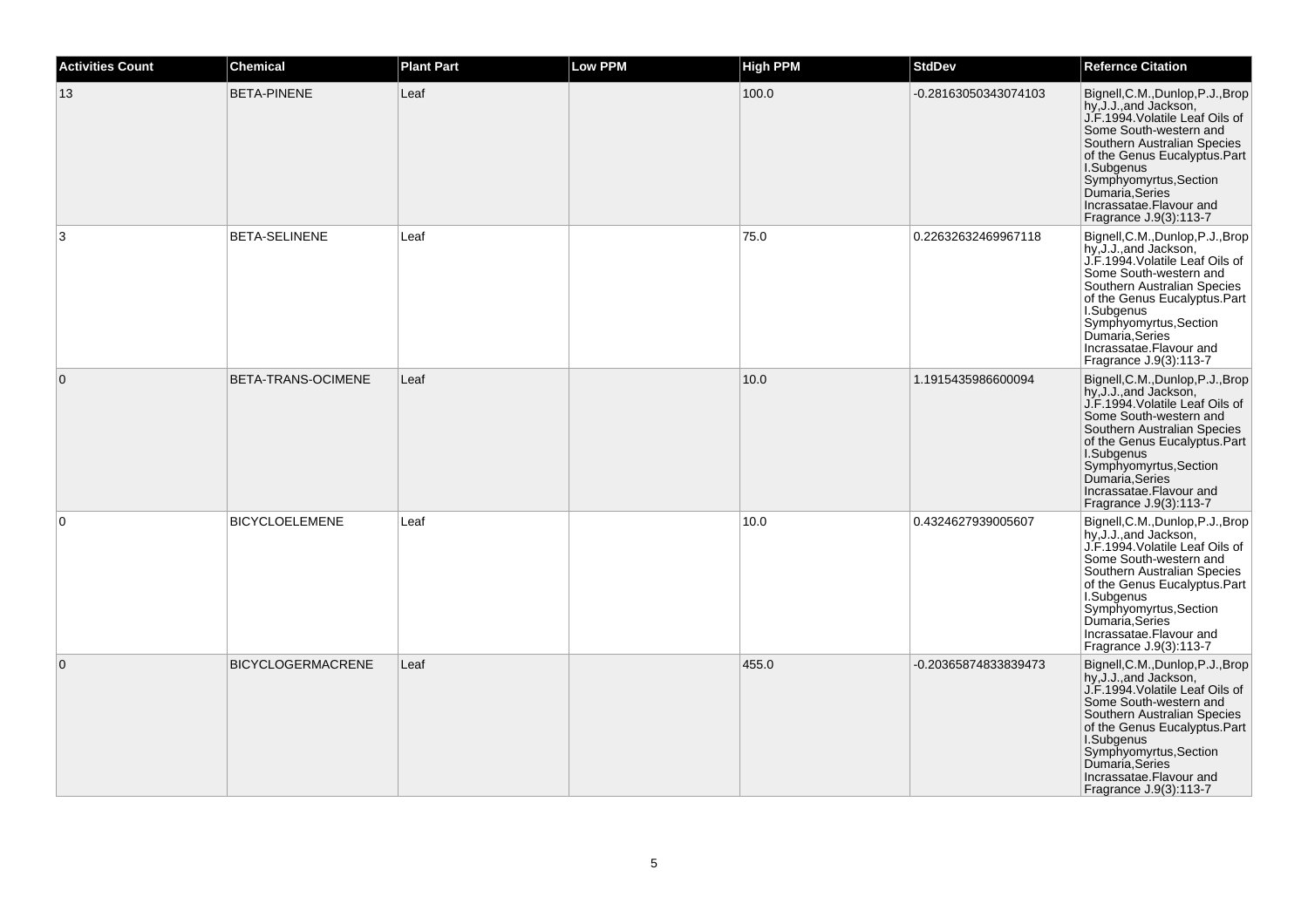| <b>Activities Count</b> | <b>Chemical</b>          | <b>Plant Part</b> | <b>Low PPM</b> | <b>High PPM</b> | <b>StdDev</b>        | <b>Refernce Citation</b>                                                                                                                                                                                                                                                                                |
|-------------------------|--------------------------|-------------------|----------------|-----------------|----------------------|---------------------------------------------------------------------------------------------------------------------------------------------------------------------------------------------------------------------------------------------------------------------------------------------------------|
| 13                      | <b>BETA-PINENE</b>       | Leaf              |                | 100.0           | -0.28163050343074103 | Bignell, C.M., Dunlop, P.J., Brop<br>hy, J.J., and Jackson,<br>J.F.1994. Volatile Leaf Oils of<br>Some South-western and<br>Southern Australian Species<br>of the Genus Eucalyptus.Part<br>I.Subgenus<br>Symphyomyrtus, Section<br>Dumaria, Series<br>Incrassatae.Flavour and<br>Fragrance J.9(3):113-7 |
| 3                       | <b>BETA-SELINENE</b>     | Leaf              |                | 75.0            | 0.22632632469967118  | Bignell, C.M., Dunlop, P.J., Brop<br>hy, J.J., and Jackson,<br>J.F.1994. Volatile Leaf Oils of<br>Some South-western and<br>Southern Australian Species<br>of the Genus Eucalyptus.Part<br>I.Subgenus<br>Symphyomyrtus, Section<br>Dumaria, Series<br>Incrassatae.Flavour and<br>Fragrance J.9(3):113-7 |
| $\overline{0}$          | BETA-TRANS-OCIMENE       | Leaf              |                | 10.0            | 1.1915435986600094   | Bignell, C.M., Dunlop, P.J., Brop<br>hy, J.J., and Jackson,<br>J.F.1994. Volatile Leaf Oils of<br>Some South-western and<br>Southern Australian Species<br>of the Genus Eucalyptus.Part<br>I.Subgenus<br>symphyomyrtus, Section<br>Dumaria, Series<br>Incrassatae.Flavour and<br>Fragrance J.9(3):113-7 |
| $\overline{0}$          | <b>BICYCLOELEMENE</b>    | Leaf              |                | 10.0            | 0.4324627939005607   | Bignell, C.M., Dunlop, P.J., Brop<br>hy, J.J., and Jackson,<br>J.F.1994. Volatile Leaf Oils of<br>Some South-western and<br>Southern Australian Species<br>of the Genus Eucalyptus.Part<br>I.Subgenus<br>Symphyomyrtus, Section<br>Dumaria, Series<br>Incrassatae.Flavour and<br>Fragrance J.9(3):113-7 |
| $\overline{0}$          | <b>BICYCLOGERMACRENE</b> | Leaf              |                | 455.0           | -0.20365874833839473 | Bignell, C.M., Dunlop, P.J., Brop<br>hy, J.J., and Jackson,<br>J.F.1994. Volatile Leaf Oils of<br>Some South-western and<br>Southern Australian Species<br>of the Genus Eucalyptus.Part<br>I.Subgenus<br>Symphyomyrtus, Section<br>Dumaria, Series<br>Incrassatae.Flavour and<br>Fragrance J.9(3):113-7 |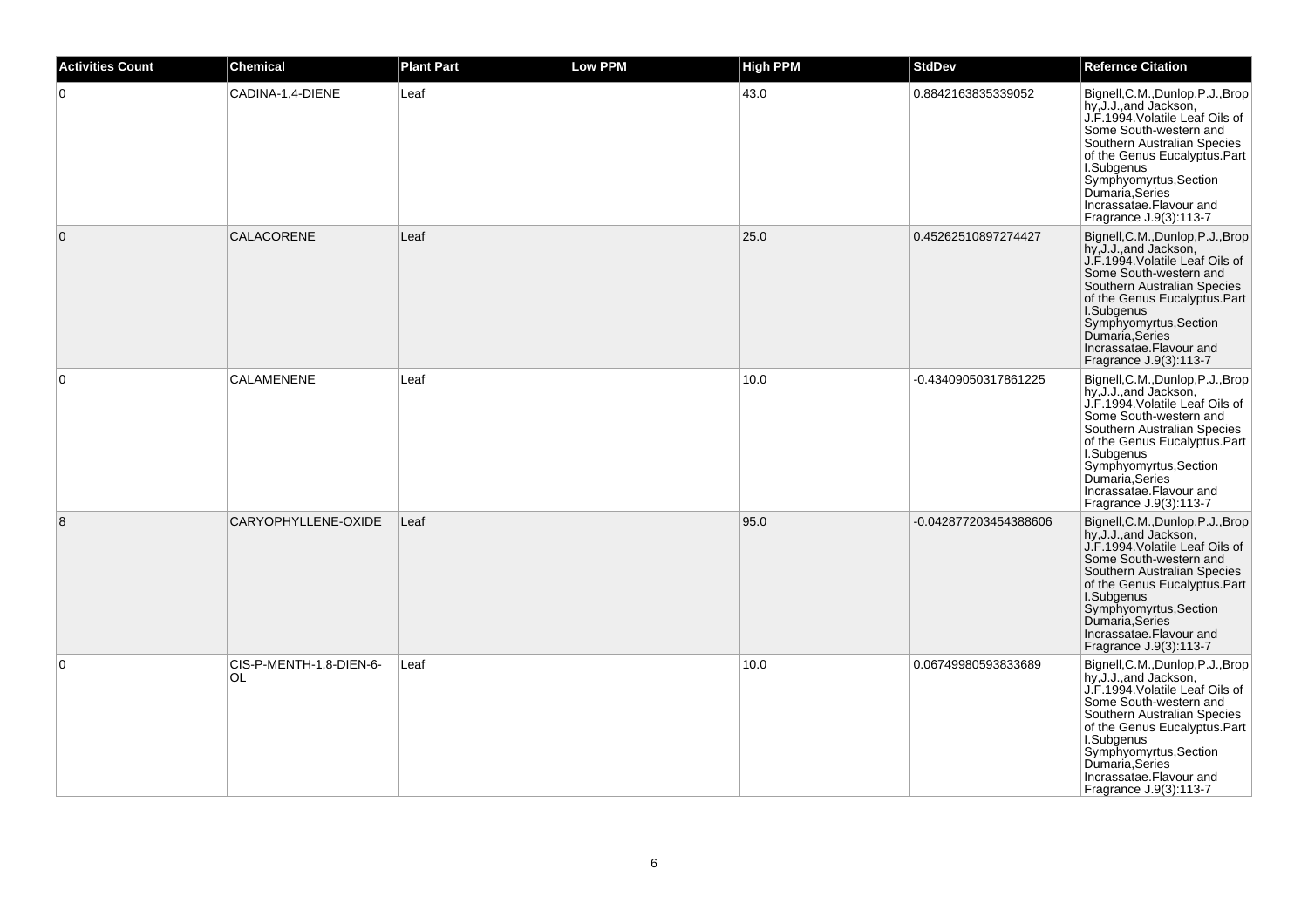| <b>Activities Count</b> | <b>Chemical</b>                | <b>Plant Part</b> | <b>Low PPM</b> | <b>High PPM</b> | <b>StdDev</b>         | <b>Refernce Citation</b>                                                                                                                                                                                                                                                                                |
|-------------------------|--------------------------------|-------------------|----------------|-----------------|-----------------------|---------------------------------------------------------------------------------------------------------------------------------------------------------------------------------------------------------------------------------------------------------------------------------------------------------|
| 0                       | CADINA-1,4-DIENE               | Leaf              |                | 43.0            | 0.8842163835339052    | Bignell, C.M., Dunlop, P.J., Brop<br>hy, J.J., and Jackson,<br>J.F.1994. Volatile Leaf Oils of<br>Some South-western and<br>Southern Australian Species<br>of the Genus Eucalyptus.Part<br>I.Subgenus<br>Symphyomyrtus, Section<br>Dumaria, Series<br>Incrassatae.Flavour and<br>Fragrance J.9(3):113-7 |
| $\mathbf{0}$            | <b>CALACORENE</b>              | Leaf              |                | 25.0            | 0.45262510897274427   | Bignell, C.M., Dunlop, P.J., Brop<br>hy, J.J., and Jackson,<br>J.F.1994. Volatile Leaf Oils of<br>Some South-western and<br>Southern Australian Species<br>of the Genus Eucalyptus.Part<br>I.Subgenus<br>Symphyomyrtus, Section<br>Dumaria, Series<br>Incrassatae.Flavour and<br>Fragrance J.9(3):113-7 |
| 0                       | CALAMENENE                     | Leaf              |                | 10.0            | -0.43409050317861225  | Bignell, C.M., Dunlop, P.J., Brop<br>hy, J.J., and Jackson,<br>J.F.1994. Volatile Leaf Oils of<br>Some South-western and<br>Southern Australian Species<br>of the Genus Eucalyptus.Part<br>I.Subgenus<br>Symphyomyrtus, Section<br>Dumaria, Series<br>Incrassatae.Flavour and<br>Fragrance J.9(3):113-7 |
| 8                       | CARYOPHYLLENE-OXIDE            | Leaf              |                | 95.0            | -0.042877203454388606 | Bignell, C.M., Dunlop, P.J., Brop<br>hy, J.J., and Jackson,<br>J.F.1994. Volatile Leaf Oils of<br>Some South-western and<br>Southern Australian Species<br>of the Genus Eucalyptus.Part<br>I.Subgenus<br>Symphyomyrtus, Section<br>Dumaria, Series<br>Incrassatae.Flavour and<br>Fragrance J.9(3):113-7 |
| $\Omega$                | CIS-P-MENTH-1,8-DIEN-6-<br>OL. | Leaf              |                | 10.0            | 0.06749980593833689   | Bignell, C.M., Dunlop, P.J., Brop<br>hy, J.J., and Jackson,<br>J.F.1994. Volatile Leaf Oils of<br>Some South-western and<br>Southern Australian Species<br>of the Genus Eucalyptus.Part<br>I.Subgenus<br>Symphyomyrtus, Section<br>Dumaria, Series<br>Incrassatae.Flavour and<br>Fragrance J.9(3):113-7 |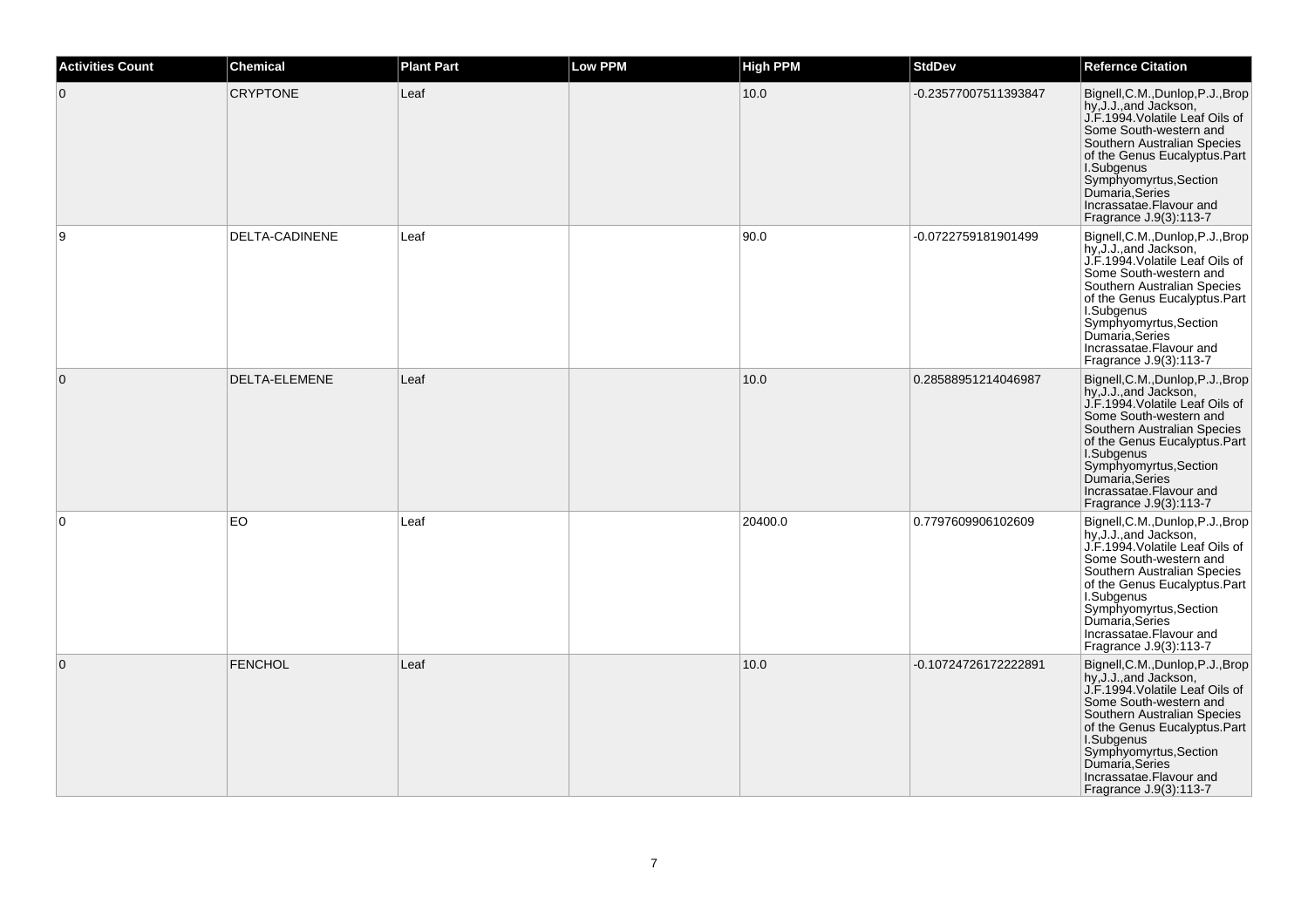| <b>Activities Count</b> | <b>Chemical</b>       | <b>Plant Part</b> | <b>Low PPM</b> | <b>High PPM</b> | <b>StdDev</b>        | <b>Refernce Citation</b>                                                                                                                                                                                                                                                                                |
|-------------------------|-----------------------|-------------------|----------------|-----------------|----------------------|---------------------------------------------------------------------------------------------------------------------------------------------------------------------------------------------------------------------------------------------------------------------------------------------------------|
| $\mathbf 0$             | <b>CRYPTONE</b>       | Leaf              |                | 10.0            | -0.23577007511393847 | Bignell, C.M., Dunlop, P.J., Brop<br>hy, J.J., and Jackson,<br>J.F.1994. Volatile Leaf Oils of<br>Some South-western and<br>Southern Australian Species<br>of the Genus Eucalyptus.Part<br>I.Subgenus<br>Symphyomyrtus, Section<br>Dumaria, Series<br>Incrassatae.Flavour and<br>Fragrance J.9(3):113-7 |
| 9                       | <b>DELTA-CADINENE</b> | Leaf              |                | 90.0            | -0.0722759181901499  | Bignell, C.M., Dunlop, P.J., Brop<br>hy, J.J., and Jackson,<br>J.F.1994. Volatile Leaf Oils of<br>Some South-western and<br>Southern Australian Species<br>of the Genus Eucalyptus.Part<br>I.Subgenus<br>Symphyomyrtus, Section<br>Dumaria, Series<br>Incrassatae.Flavour and<br>Fragrance J.9(3):113-7 |
| $\overline{0}$          | DELTA-ELEMENE         | Leaf              |                | 10.0            | 0.28588951214046987  | Bignell, C.M., Dunlop, P.J., Brop<br>hy, J.J., and Jackson,<br>J.F.1994. Volatile Leaf Oils of<br>Some South-western and<br>Southern Australian Species<br>of the Genus Eucalyptus.Part<br>I.Subgenus<br>symphyomyrtus, Section<br>Dumaria, Series<br>Incrassatae.Flavour and<br>Fragrance J.9(3):113-7 |
| $\Omega$                | EO                    | Leaf              |                | 20400.0         | 0.7797609906102609   | Bignell, C.M., Dunlop, P.J., Brop<br>hy, J.J., and Jackson,<br>J.F.1994. Volatile Leaf Oils of<br>Some South-western and<br>Southern Australian Species<br>of the Genus Eucalyptus.Part<br>I.Subgenus<br>Symphyomyrtus, Section<br>Dumaria, Series<br>Incrassatae.Flavour and<br>Fragrance J.9(3):113-7 |
| $\overline{0}$          | FENCHOL               | Leaf              |                | 10.0            | -0.10724726172222891 | Bignell, C.M., Dunlop, P.J., Brop<br>hy, J.J., and Jackson,<br>J.F.1994. Volatile Leaf Oils of<br>Some South-western and<br>Southern Australian Species<br>of the Genus Eucalyptus.Part<br>I.Subgenus<br>Symphyomyrtus, Section<br>Dumaria, Series<br>Incrassatae.Flavour and<br>Fragrance J.9(3):113-7 |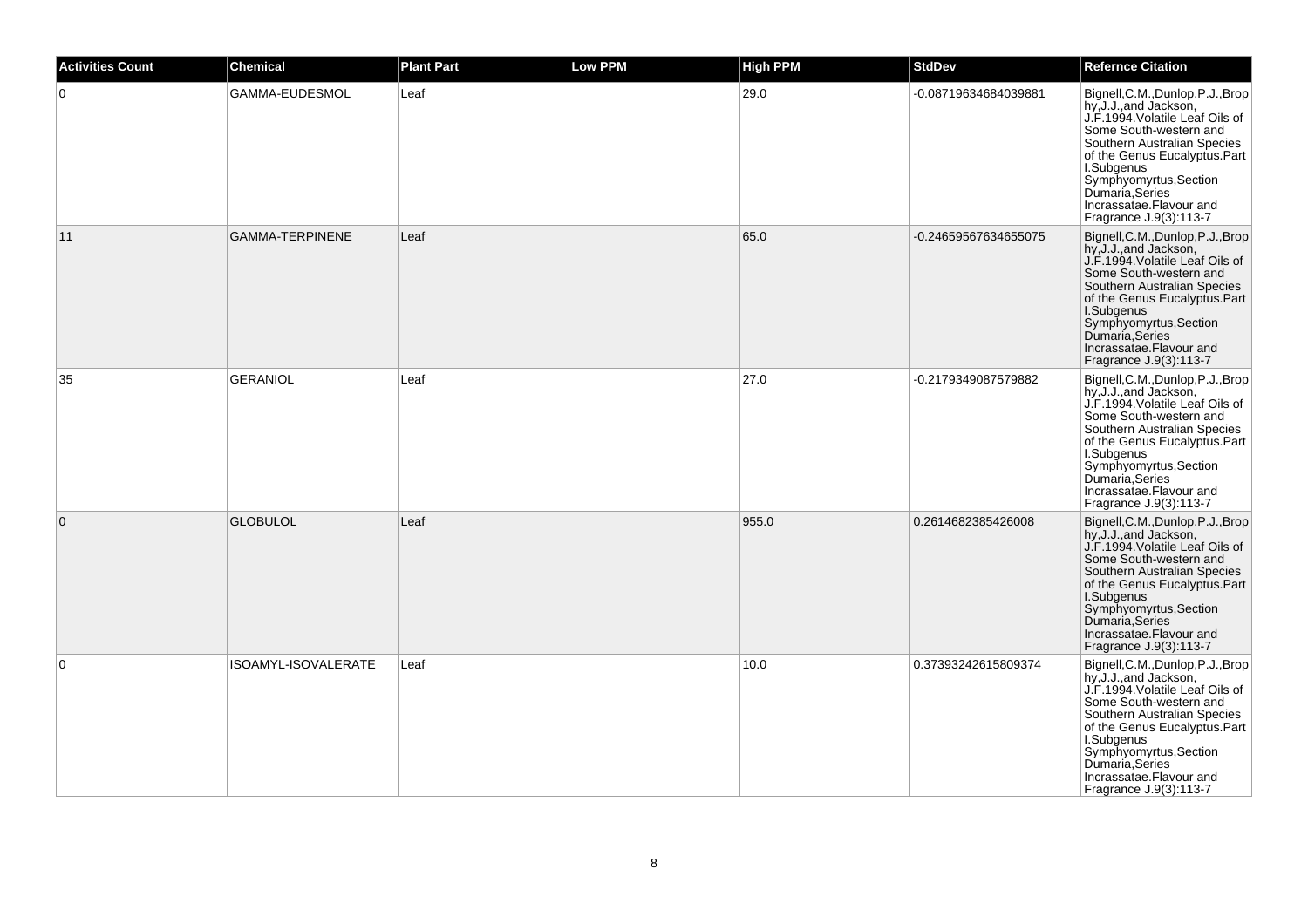| <b>Activities Count</b> | <b>Chemical</b>        | <b>Plant Part</b> | <b>Low PPM</b> | <b>High PPM</b> | <b>StdDev</b>        | <b>Refernce Citation</b>                                                                                                                                                                                                                                                                                             |
|-------------------------|------------------------|-------------------|----------------|-----------------|----------------------|----------------------------------------------------------------------------------------------------------------------------------------------------------------------------------------------------------------------------------------------------------------------------------------------------------------------|
| 0                       | GAMMA-EUDESMOL         | Leaf              |                | 29.0            | -0.08719634684039881 | Bignell, C.M., Dunlop, P.J., Brop<br>hy, J.J., and Jackson,<br>J.F.1994. Volatile Leaf Oils of<br>Some South-western and<br>Southern Australian Species<br>of the Genus Eucalyptus.Part<br>I.Subgenus<br>Symphyomyrtus, Section<br>Dumaria, Series<br>Incrassatae.Flavour and<br>Fragrance J.9(3):113-7              |
| 11                      | <b>GAMMA-TERPINENE</b> | Leaf              |                | 65.0            | -0.24659567634655075 | Bignell, C.M., Dunlop, P.J., Brop<br>hy, J.J., and Jackson,<br>J.F.1994. Volatile Leaf Oils of<br>Some South-western and<br>Southern Australian Species<br>of the Genus Eucalyptus.Part<br>I.Subgenus<br>Symphyomyrtus, Section<br>Dumaria, Series<br>Incrassatae.Flavour and<br>Fragrance J.9(3):113-7              |
| 35                      | <b>GERANIOL</b>        | Leaf              |                | 27.0            | -0.2179349087579882  | Bignell, C.M., Dunlop, P.J., Brop<br>hy, J.J., and Jackson,<br>J.F.1994. Volatile Leaf Oils of<br>Some South-western and<br>Southern Australian Species<br>of the Genus Eucalyptus.Part<br>I.Subgenus<br>structure<br>Symphyomyrtus, Section<br>Dumaria, Series<br>Incrassatae.Flavour and<br>Fragrance J.9(3):113-7 |
| $\overline{0}$          | <b>GLOBULOL</b>        | Leaf              |                | 955.0           | 0.2614682385426008   | Bignell, C.M., Dunlop, P.J., Brop<br>hy, J.J., and Jackson,<br>J.F.1994. Volatile Leaf Oils of<br>Some South-western and<br>Southern Australian Species<br>of the Genus Eucalyptus.Part<br>I.Subgenus<br>Symphyomyrtus, Section<br>Dumaria, Series<br>Incrassatae.Flavour and<br>Fragrance J.9(3):113-7              |
| 0                       | ISOAMYL-ISOVALERATE    | Leaf              |                | 10.0            | 0.37393242615809374  | Bignell, C.M., Dunlop, P.J., Brop<br>hy, J.J., and Jackson,<br>J.F.1994. Volatile Leaf Oils of<br>Some South-western and<br>Southern Australian Species<br>of the Genus Eucalyptus.Part<br>I.Subgenus<br>symphyomyrtus, Section<br>Dumaria, Series<br>Incrassatae.Flavour and<br>Fragrance J.9(3):113-7              |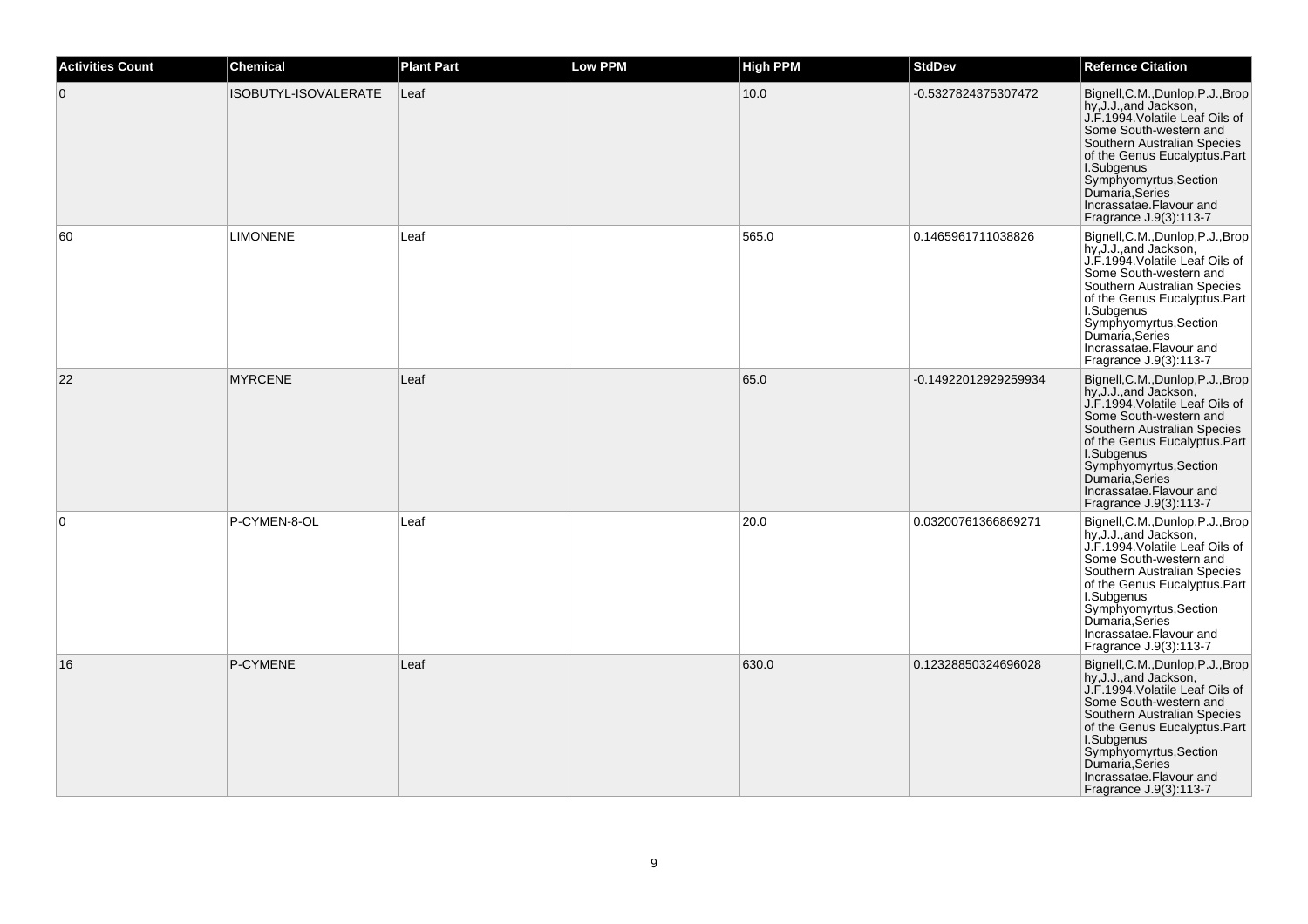| <b>Activities Count</b> | <b>Chemical</b>      | <b>Plant Part</b> | <b>Low PPM</b> | <b>High PPM</b> | <b>StdDev</b>        | <b>Refernce Citation</b>                                                                                                                                                                                                                                                                                |
|-------------------------|----------------------|-------------------|----------------|-----------------|----------------------|---------------------------------------------------------------------------------------------------------------------------------------------------------------------------------------------------------------------------------------------------------------------------------------------------------|
| $\overline{0}$          | ISOBUTYL-ISOVALERATE | Leaf              |                | 10.0            | -0.5327824375307472  | Bignell, C.M., Dunlop, P.J., Brop<br>hy, J.J., and Jackson,<br>J.F.1994. Volatile Leaf Oils of<br>Some South-western and<br>Southern Australian Species<br>of the Genus Eucalyptus.Part<br>I.Subgenus<br>Symphyomyrtus, Section<br>Dumaria, Series<br>Incrassatae.Flavour and<br>Fragrance J.9(3):113-7 |
| 60                      | <b>LIMONENE</b>      | Leaf              |                | 565.0           | 0.1465961711038826   | Bignell, C.M., Dunlop, P.J., Brop<br>hy, J.J., and Jackson,<br>J.F.1994. Volatile Leaf Oils of<br>Some South-western and<br>Southern Australian Species<br>of the Genus Eucalyptus.Part<br>I.Subgenus<br>Symphyomyrtus, Section<br>Dumaria, Series<br>Incrassatae.Flavour and<br>Fragrance J.9(3):113-7 |
| 22                      | <b>MYRCENE</b>       | Leaf              |                | 65.0            | -0.14922012929259934 | Bignell, C.M., Dunlop, P.J., Brop<br>hy, J.J., and Jackson,<br>J.F.1994. Volatile Leaf Oils of<br>Some South-western and<br>Southern Australian Species<br>of the Genus Eucalyptus.Part<br>I.Subgenus<br>symphyomyrtus, Section<br>Dumaria, Series<br>Incrassatae.Flavour and<br>Fragrance J.9(3):113-7 |
| $\overline{0}$          | P-CYMEN-8-OL         | Leaf              |                | 20.0            | 0.03200761366869271  | Bignell, C.M., Dunlop, P.J., Brop<br>hy, J.J., and Jackson,<br>J.F.1994. Volatile Leaf Oils of<br>Some South-western and<br>Southern Australian Species<br>of the Genus Eucalyptus.Part<br>I.Subgenus<br>Symphyomyrtus, Section<br>Dumaría, Series<br>Incrassatae.Flavour and<br>Fragrance J.9(3):113-7 |
| 16                      | P-CYMENE             | Leaf              |                | 630.0           | 0.12328850324696028  | Bignell, C.M., Dunlop, P.J., Brop<br>hy, J.J., and Jackson,<br>J.F.1994. Volatile Leaf Oils of<br>Some South-western and<br>Southern Australian Species<br>of the Genus Eucalyptus.Part<br>I.Subgenus<br>Symphyomyrtus, Section<br>Dumaria, Series<br>Incrassatae.Flavour and<br>Fragrance J.9(3):113-7 |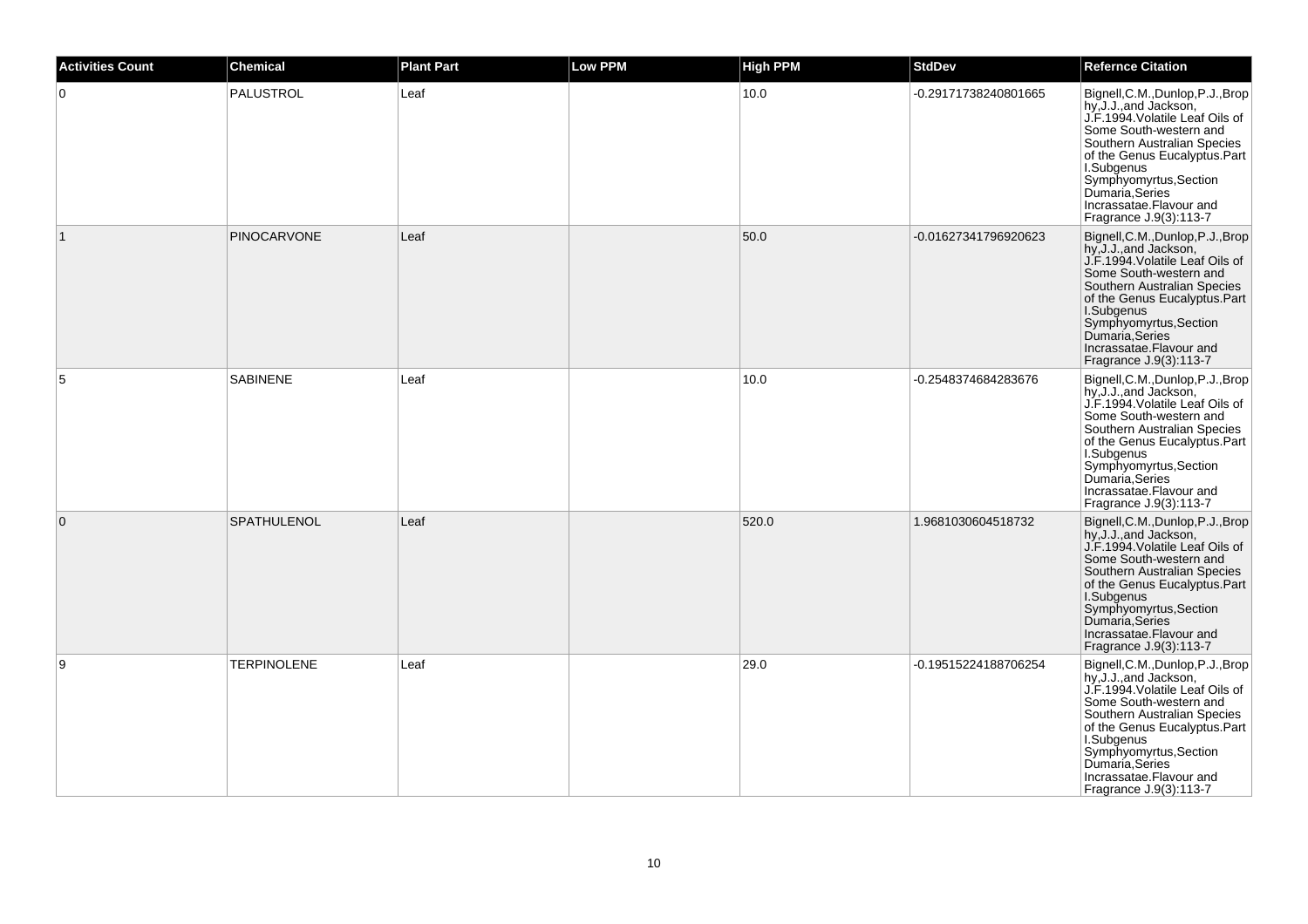| <b>Activities Count</b> | <b>Chemical</b>    | <b>Plant Part</b> | <b>Low PPM</b> | <b>High PPM</b> | <b>StdDev</b>        | <b>Refernce Citation</b>                                                                                                                                                                                                                                                                                |
|-------------------------|--------------------|-------------------|----------------|-----------------|----------------------|---------------------------------------------------------------------------------------------------------------------------------------------------------------------------------------------------------------------------------------------------------------------------------------------------------|
| $\overline{0}$          | PALUSTROL          | Leaf              |                | 10.0            | -0.29171738240801665 | Bignell, C.M., Dunlop, P.J., Brop<br>hy, J.J., and Jackson,<br>J.F.1994. Volatile Leaf Oils of<br>Some South-western and<br>Southern Australian Species<br>of the Genus Eucalyptus.Part<br>I.Subgenus<br>Symphyomyrtus, Section<br>Dumaria, Series<br>Incrassatae.Flavour and<br>Fragrance J.9(3):113-7 |
| $\vert$ 1               | <b>PINOCARVONE</b> | Leaf              |                | 50.0            | -0.01627341796920623 | Bignell, C.M., Dunlop, P.J., Brop<br>hy, J.J., and Jackson,<br>J.F.1994. Volatile Leaf Oils of<br>Some South-western and<br>Southern Australian Species<br>of the Genus Eucalyptus.Part<br>I.Subgenus<br>Symphyomyrtus, Section<br>Dumaria, Series<br>Incrassatae.Flavour and<br>Fragrance J.9(3):113-7 |
| 5                       | <b>SABINENE</b>    | Leaf              |                | 10.0            | -0.2548374684283676  | Bignell, C.M., Dunlop, P.J., Brop<br>hy, J.J., and Jackson,<br>J.F.1994. Volatile Leaf Oils of<br>Some South-western and<br>Southern Australian Species<br>of the Genus Eucalyptus.Part<br>I.Subgenus<br>symphyomyrtus, Section<br>Dumaria, Series<br>Incrassatae.Flavour and<br>Fragrance J.9(3):113-7 |
| $\overline{0}$          | <b>SPATHULENOL</b> | Leaf              |                | 520.0           | 1.9681030604518732   | Bignell, C.M., Dunlop, P.J., Brop<br>hy, J.J., and Jackson,<br>J.F.1994. Volatile Leaf Oils of<br>Some South-western and<br>Southern Australian Species<br>of the Genus Eucalyptus.Part<br>I.Subgenus<br>Symphyomyrtus, Section<br>Dumaria, Series<br>Incrassatae.Flavour and<br>Fragrance J.9(3):113-7 |
| 9                       | <b>TERPINOLENE</b> | Leaf              |                | 29.0            | -0.19515224188706254 | Bignell, C.M., Dunlop, P.J., Brop<br>hy, J.J., and Jackson,<br>J.F.1994. Volatile Leaf Oils of<br>Some South-western and<br>Southern Australian Species<br>of the Genus Eucalyptus.Part<br>I.Subgenus<br>Symphyomyrtus, Section<br>Dumaria, Series<br>Incrassatae.Flavour and<br>Fragrance J.9(3):113-7 |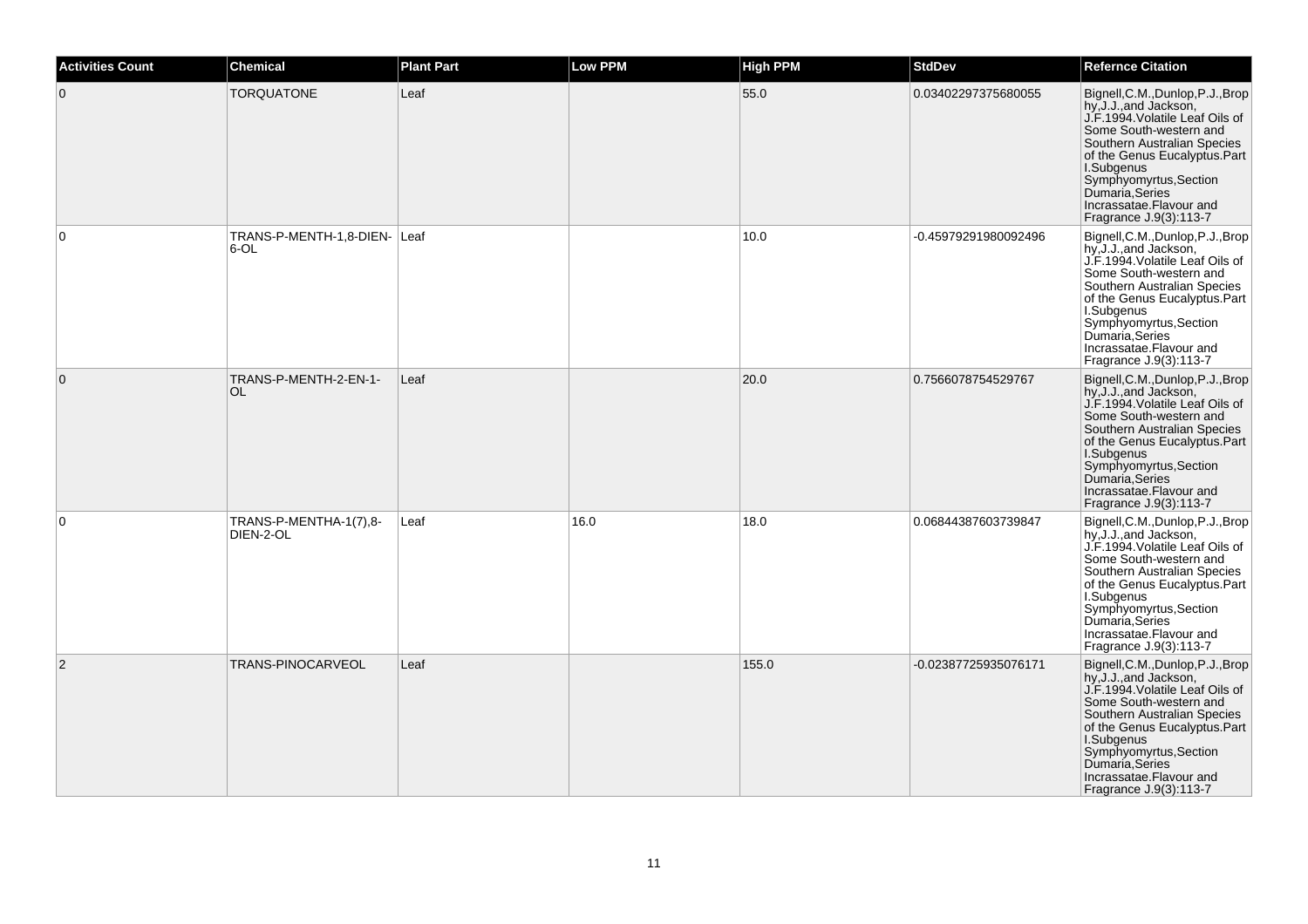| <b>Activities Count</b> | <b>Chemical</b>                      | <b>Plant Part</b> | Low PPM | <b>High PPM</b> | <b>StdDev</b>        | <b>Refernce Citation</b>                                                                                                                                                                                                                                                                                |
|-------------------------|--------------------------------------|-------------------|---------|-----------------|----------------------|---------------------------------------------------------------------------------------------------------------------------------------------------------------------------------------------------------------------------------------------------------------------------------------------------------|
| $\overline{0}$          | <b>TORQUATONE</b>                    | Leaf              |         | 55.0            | 0.03402297375680055  | Bignell, C.M., Dunlop, P.J., Brop<br>hy, J.J., and Jackson,<br>J.F.1994. Volatile Leaf Oils of<br>Some South-western and<br>Southern Australian Species<br>of the Genus Eucalyptus.Part<br>I.Subgenus<br>Symphyomyrtus, Section<br>Dumaria, Series<br>Incrassatae.Flavour and<br>Fragrance J.9(3):113-7 |
| $\overline{0}$          | TRANS-P-MENTH-1,8-DIEN- Leaf<br>6-OL |                   |         | 10.0            | -0.45979291980092496 | Bignell, C.M., Dunlop, P.J., Brop<br>hy, J.J., and Jackson,<br>J.F.1994. Volatile Leaf Oils of<br>Some South-western and<br>Southern Australian Species<br>of the Genus Eucalyptus.Part<br>I.Subgenus<br>Symphyomyrtus, Section<br>Dumaria, Series<br>Incrassatae.Flavour and<br>Fragrance J.9(3):113-7 |
| $\overline{0}$          | TRANS-P-MENTH-2-EN-1-<br><b>OL</b>   | Leaf              |         | 20.0            | 0.7566078754529767   | Bignell, C.M., Dunlop, P.J., Brop<br>hy, J.J., and Jackson,<br>J.F.1994. Volatile Leaf Oils of<br>Some South-western and<br>Southern Australian Species<br>of the Genus Eucalyptus.Part<br>I.Subgenus<br>Symphyomyrtus, Section<br>Dumaria, Series<br>Incrassatae.Flavour and<br>Fragrance J.9(3):113-7 |
| $\overline{0}$          | TRANS-P-MENTHA-1(7),8-<br>DIEN-2-OL  | Leaf              | 16.0    | 18.0            | 0.06844387603739847  | Bignell, C.M., Dunlop, P.J., Brop<br>hy, J.J., and Jackson,<br>J.F.1994. Volatile Leaf Oils of<br>Some South-western and<br>Southern Australian Species<br>of the Genus Eucalyptus.Part<br>I.Subgenus<br>Symphyomyrtus, Section<br>Dumaria, Series<br>Incrassatae.Flavour and<br>Fragrance J.9(3):113-7 |
| 2                       | TRANS-PINOCARVEOL                    | Leaf              |         | 155.0           | -0.02387725935076171 | Bignell, C.M., Dunlop, P.J., Brop<br>hy, J.J., and Jackson,<br>J.F.1994. Volatile Leaf Oils of<br>Some South-western and<br>Southern Australian Species<br>of the Genus Eucalyptus.Part<br>I.Subgenus<br>Symphyomyrtus, Section<br>Dumaria, Series<br>Incrassatae.Flavour and<br>Fragrance J.9(3):113-7 |